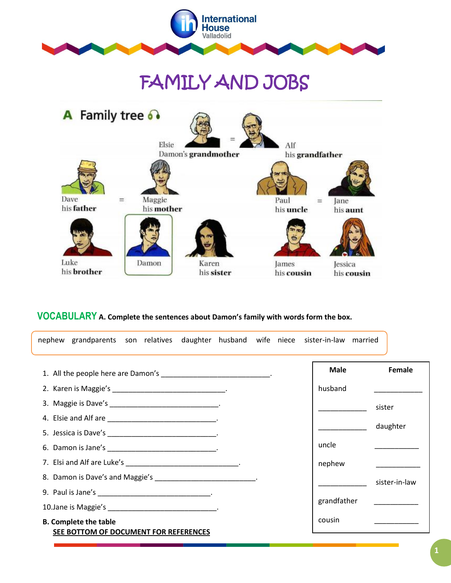

# FAMILY AND JOBS



# **VOCABULARY A. Complete the sentences about Damon's family with words form the box.**

| nephew grandparents son relatives daughter husband wife niece sister-in-law married |  |       |             |               |
|-------------------------------------------------------------------------------------|--|-------|-------------|---------------|
| 1. All the people here are Damon's ___________________________.                     |  |       | <b>Male</b> | Female        |
| 2. Karen is Maggie's _________________________________.                             |  |       | husband     |               |
| 3. Maggie is Dave's __________________________________.                             |  |       |             | sister        |
| 4. Elsie and Alf are ________________________________.                              |  |       |             |               |
|                                                                                     |  |       |             | daughter      |
| 6. Damon is Jane's __________________________________.                              |  | uncle |             |               |
| 7. Elsi and Alf are Luke's _________________________________.                       |  |       | nephew      |               |
| 8. Damon is Dave's and Maggie's ___________________________.                        |  |       |             | sister-in-law |
| 9. Paul is Jane's _________________________________.                                |  |       |             |               |
| 10. Jane is Maggie's _______________________________.                               |  |       | grandfather |               |
| <b>B. Complete the table</b><br>SEE BOTTOM OF DOCUMENT FOR REFERENCES               |  |       | cousin      |               |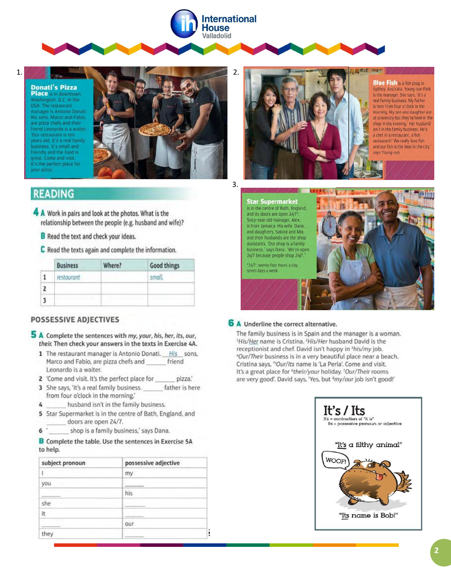

 $\overline{1}$ .

#### **Donati's Pizza** Place is in downtown Washington, D.C. in the USA. The restaurant manager is Antonio Donati. His sons, Marco and Fabio, are pizza chefs and their friend Leonardo is a waiter. Our restaurant is ten years old. It's a real family business. It's small and friendly and the food is great. Come and visit. It's the perfect place for vour pizza.



# **READING**

- 4 A Work in pairs and look at the photos. What is the relationship between the people (e.g. husband and wife)?
	- **B** Read the text and check your ideas.
	- C Read the texts again and complete the information.

| <b>Business</b> | Where? | <b>Good things</b> |
|-----------------|--------|--------------------|
| restaurant      |        | small.             |
|                 |        |                    |
|                 |        |                    |

# **POSSESSIVE ADJECTIVES**

- 5 A Complete the sentences with my, your, his, her, its, our, their. Then check your answers in the texts in Exercise 4A.
	- 1 The restaurant manager is Antonio Donati. His sons, Marco and Fabio, are pizza chefs and friend Leonardo is a waiter.
	- 2 'Come and visit. It's the perfect place for pizza.
	- 3 She says, 'It's a real family business. father is here from four o'clock in the morning.'
	- husband isn't in the family business. 4
	- 5 Star Supermarket is in the centre of Bath, England, and doors are open 24/7.
	- $6<sup>1</sup>$ shop is a family business,' says Dana.

### **B** Complete the table. Use the sentences in Exercise 5A to help.

| subject pronoun | possessive adjective |
|-----------------|----------------------|
|                 | my                   |
| you             |                      |
|                 | his                  |
| she             |                      |
| it.             |                      |
|                 | our                  |
| they            |                      |



#### **Blue Fish** is a fish shop in Sydney, Australia. Young-sun Park is the manager. She says, 'It's a real family business. My father is here from four o'clock in the morning. My son and daughter are at university but they're here in the shop in the evening.' Her husband isn't in the family business. He's a chef in a restaurant, a fish restaurant! 'We really love fish and our fish is the best in the city. says Young-sun.



**Star Supermarket**<br>is in the centre of Bath, England. and its doors are open 24/7\* Sixty-year-old manager, Alex, is from Jamaica. His wife, Dana, and daughters, Sakina and Mia, and their husbands are the shop assistants. 'Our shop is a family business,' says Dana. 'We're open 24/7 because people shop 24/7.

\*24/7: twenty-four hours a day. seven days a week



# 6 A Underline the correct alternative.

The family business is in Spain and the manager is a woman. <sup>1</sup>His/Her name is Cristina. <sup>2</sup>His/Her husband David is the receptionist and chef. David isn't happy in <sup>3</sup>his/my job. "Our/Their business is in a very beautiful place near a beach. Cristina says, "Our/Its name is 'La Perla'. Come and visit. It's a great place for <sup>6</sup>their/your holiday. <sup>7</sup>Our/Their rooms are very good'. David says, 'Yes, but 'my/our job isn't good!'

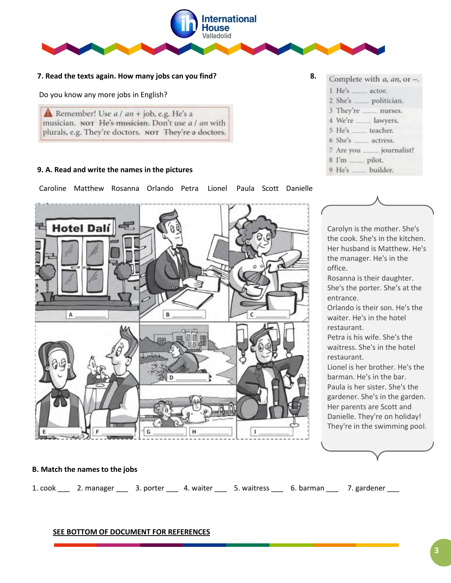

# **7. Read the texts again. How many jobs can you find? 8.**

Do you know any more jobs in English?

**A** Remember! Use  $a / an + job$ , e.g. He's a musician. NOT He's musician. Don't use a / an with plurals, e.g. They're doctors. NOT They're a doctors.

# **9. A. Read and write the names in the pictures**

Caroline Matthew Rosanna Orlando Petra Lionel Paula Scott Danielle



#### Complete with a, an, or -. 1 He's actor. 2 She's politician. 3 They're nurses. 4 We're \_\_\_\_ lawyers. 5 He's teacher. 6 She's actress. \_ journalist? 7 Are you  $8$   $\Gamma$ m  $$ pilot. 9 He's builder.



Her husband is Matthew. He's the manager. He's in the office.

Rosanna is their daughter. She's the porter. She's at the entrance.

Orlando is their son. He's the waiter. He's in the hotel restaurant.

Petra is his wife. She's the waitress. She's in the hotel restaurant.

Lionel is her brother. He's the barman. He's in the bar. Paula is her sister. She's the gardener. She's in the garden. Her parents are Scott and Danielle. They're on holiday! They're in the swimming pool.

# **B. Match the names to the jobs**

1. cook \_\_\_ 2. manager \_\_\_ 3. porter \_\_\_ 4. waiter \_\_\_ 5. waitress \_\_\_ 6. barman \_\_\_ 7. gardener \_\_\_

# **SEE BOTTOM OF DOCUMENT FOR REFERENCES**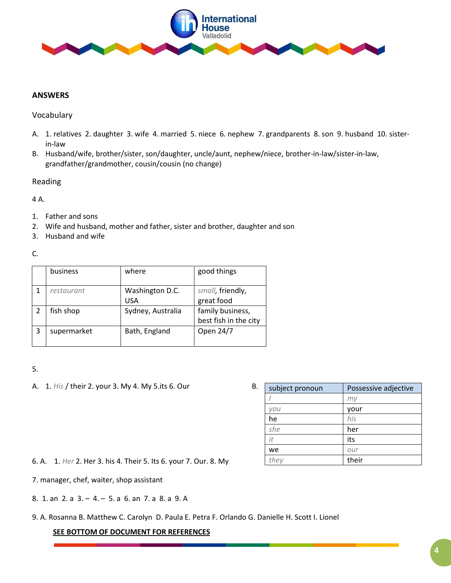

# **ANSWERS**

# Vocabulary

- A. 1. relatives 2. daughter 3. wife 4. married 5. niece 6. nephew 7. grandparents 8. son 9. husband 10. sisterin-law
- B. Husband/wife, brother/sister, son/daughter, uncle/aunt, nephew/niece, brother-in-law/sister-in-law, grandfather/grandmother, cousin/cousin (no change)

# Reading

# 4 A.

- 1. Father and sons
- 2. Wife and husband, mother and father, sister and brother, daughter and son
- 3. Husband and wife

C.

|                | business    | where                         | good things                               |
|----------------|-------------|-------------------------------|-------------------------------------------|
|                | restaurant  | Washington D.C.<br><b>USA</b> | small, friendly,<br>great food            |
| $\overline{2}$ | fish shop   | Sydney, Australia             | family business,<br>best fish in the city |
| 3              | supermarket | Bath, England                 | Open 24/7                                 |

# 5.

A. 1. *His* / their 2. your 3. My 4. My 5. its 6. Our B.

| subject pronoun | Possessive adjective |  |
|-----------------|----------------------|--|
|                 | mı                   |  |
| vou             | your                 |  |
| he              | his                  |  |
| she             | her                  |  |
| it              | its                  |  |
| we              | our                  |  |
| they            | their                |  |

6. A. 1. *Her* 2. Her 3. his 4. Their 5. Its 6. your 7. Our. 8. My

7. manager, chef, waiter, shop assistant

8. 1. an 2. a 3. – 4. – 5. a 6. an 7. a 8. a 9. A

9. A. Rosanna B. Matthew C. Carolyn D. Paula E. Petra F. Orlando G. Danielle H. Scott I. Lionel

# **SEE BOTTOM OF DOCUMENT FOR REFERENCES**